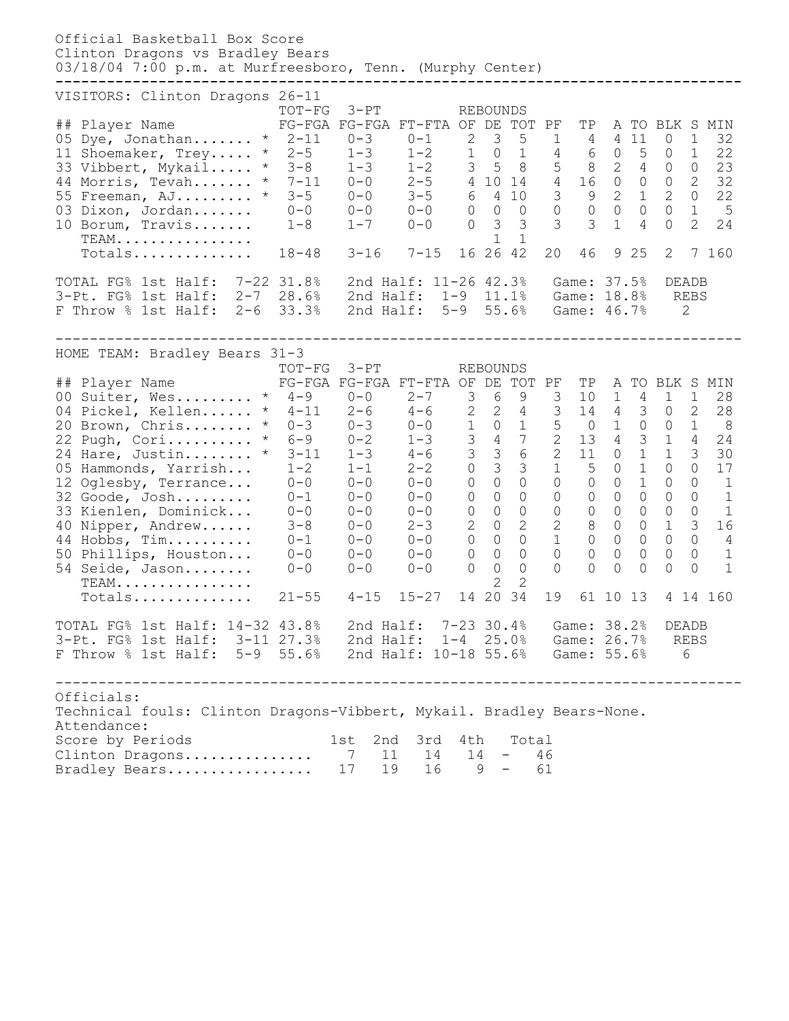| Official Basketball Box Score<br>Clinton Dragons vs Bradley Bears<br>03/18/04 7:00 p.m. at Murfreesboro, Tenn. (Murphy Center)                                                                                                                                                                                                                        |                                                                                                                                                                                                                                                                       |                                                                                                                       |                                                                                                                               |                                                                              |                                                                                                                                                                                              |                                                                                                                                                                                                                                                             |                                                                                                                                                                          |                                             |                                                                                                                                         |                                                                                                                                                       |                                                                                                                                                                                |                                                                                                                                                                                                                                                   |                                                                                                           |
|-------------------------------------------------------------------------------------------------------------------------------------------------------------------------------------------------------------------------------------------------------------------------------------------------------------------------------------------------------|-----------------------------------------------------------------------------------------------------------------------------------------------------------------------------------------------------------------------------------------------------------------------|-----------------------------------------------------------------------------------------------------------------------|-------------------------------------------------------------------------------------------------------------------------------|------------------------------------------------------------------------------|----------------------------------------------------------------------------------------------------------------------------------------------------------------------------------------------|-------------------------------------------------------------------------------------------------------------------------------------------------------------------------------------------------------------------------------------------------------------|--------------------------------------------------------------------------------------------------------------------------------------------------------------------------|---------------------------------------------|-----------------------------------------------------------------------------------------------------------------------------------------|-------------------------------------------------------------------------------------------------------------------------------------------------------|--------------------------------------------------------------------------------------------------------------------------------------------------------------------------------|---------------------------------------------------------------------------------------------------------------------------------------------------------------------------------------------------------------------------------------------------|-----------------------------------------------------------------------------------------------------------|
| VISITORS: Clinton Dragons 26-11<br>## Player Name<br>05 Dye, Jonathan * $2-11$<br>11 Shoemaker, Trey<br>33 Vibbert, Mykail<br>44 Morris, Tevah * 7-11<br>44 Morris, ievan<br>55 Freeman, AJ * 3-5<br>03 Dixon, Jordan 0-0<br>10 Borum. Travis 1-8<br>$TEAM$<br>Totals 18-48                                                                           | $TOT-FG$<br>FG-FGA FG-FGA FT-FTA OF DE TOT PF<br>$*$ 2-5 1-3 1-2 1 0 1 4 6 0 5<br>$* 3-8$                                                                                                                                                                             | $3-PT$<br>$0 - 3$<br>$3-16$ $7-15$                                                                                    | $0-1$ 2 3<br>$1-3$ $1-2$ $3$ 5 8 5<br>$0-0$ $2-5$ 4 10 14  4<br>$0-0$ $3-5$ 6 4 10<br>$0-0$ $0-0$ 0 0 0<br>$1-7$ $0-0$ 0 3 3  |                                                                              | <b>REBOUNDS</b><br>$\mathbf{1}$<br>16 26 42                                                                                                                                                  | $5\overline{)}$<br>$\overline{1}$                                                                                                                                                                                                                           | $\mathcal{S}$<br>20                                                                                                                                                      | TP<br>46                                    | $1 \qquad 4 \qquad 4 \quad 11$<br>8 2 4<br>$\begin{matrix} 0 & 0 & 0 & 0 \end{matrix}$<br>3 <sub>1</sub>                                | $\overline{4}$<br>9 2 5                                                                                                                               | $\overline{0}$<br>$\overline{0}$<br>$0\qquad 0$<br>16 0 0 0 2<br>$3 \t 9 \t 2 \t 1 \t 2$<br>$\overline{0}$<br>$\circ$<br>$\overline{2}$                                        | A TO BLK S MIN<br>1<br>1<br>$\overline{0}$<br>$\mathbf{1}$<br>$\overline{2}$<br>7 160                                                                                                                                                             | 32<br>22<br>23<br>32<br>22<br>$5\overline{)}$<br>24                                                       |
| TOTAL FG% 1st Half: 7-22 31.8%<br>3-Pt. FG% 1st Half: 2-7<br>F Throw % 1st Half: 2-6                                                                                                                                                                                                                                                                  | 28.6%<br>33.3%                                                                                                                                                                                                                                                        |                                                                                                                       | 2nd Half: 11-26 42.3%<br>2nd Half: 1-9 11.1%<br>2nd Half: 5-9 55.6%                                                           |                                                                              |                                                                                                                                                                                              |                                                                                                                                                                                                                                                             |                                                                                                                                                                          |                                             | Game: 37.5%<br>Game: 18.8%<br>Game: 46.7%                                                                                               |                                                                                                                                                       | DEADB<br><b>REBS</b><br>2                                                                                                                                                      |                                                                                                                                                                                                                                                   |                                                                                                           |
| HOME TEAM: Bradley Bears 31-3<br>## Player Name<br>00 Suiter, Wes * 4-9 0-0<br>04 Pickel, Kellen<br>20 Brown, Chris<br>22 Pugh, Cori<br>24 Hare, Justin<br>05 Hammonds, Yarrish<br>12 Oglesby, Terrance<br>32 Goode, Josh<br>33 Kienlen, Dominick<br>40 Nipper, Andrew<br>44 Hobbs, Tim<br>50 Phillips, Houston<br>54 Seide, Jason<br>TEAM.<br>Totals | TOT-FG<br>FG-FGA FG-FGA FT-FTA OF DE<br>* $4-9$ $0-0$ $2-7$ $-7$<br>* $4-11$ $2-6$ $4-6$ $2$ $2$<br>* $0-3$ $0-3$ $0-0$ $1$<br>* $6-9$ $0-2$ $1-3$ $3$<br>$* 3 - 11$<br>$1 - 2$<br>$0 - 0$<br>$0 - 1$<br>0-0<br>$3 - 8$<br>$0 - 1$<br>$0 - 0$<br>$0 - 0$<br>$21 - 55$ | $3-PT$<br>$1 - 3$<br>$1 - 1$<br>$0 - 0$<br>$0 - 0$<br>$0 - 0$<br>$0 - 0$<br>$0 - 0$<br>$0 - 0$<br>$0 - 0$<br>$4 - 15$ | $2 - 7$ 3<br>$4 - 6$ 3<br>$2 - 2$<br>$0 - 0$<br>$0 - 0$<br>$0 - 0$<br>$2 - 3$<br>$0 - 0$ 0<br>$0 - 0$<br>$0 - 0$<br>$15 - 27$ | $\circ$<br>$\circ$<br>$\circledcirc$<br>$\overline{c}$<br>$\circ$<br>$\circ$ | <b>REBOUNDS</b><br>$6\overline{6}$<br>$\mathcal{S}$<br>$\circ$<br>$0\qquad 0$<br>$\circledcirc$<br>$\circ$<br>$\circ$<br>$\mathsf{O}\xspace$<br>$\overline{0}$<br>$\overline{2}$<br>14 20 34 | TOT PF<br>9<br>$\begin{array}{ccccccccc}\n2 & 4 & 3 & 14 & 4 & 3 \\ 0 & 1 & 5 & 0 & 1 & 0\n\end{array}$<br>4 7<br>$3\quad 6$<br>$\overline{3}$<br>$\circ$<br>$\circ$<br>$\circ$<br>$\overline{2}$<br>$\overline{0}$<br>$\circ$<br>$\circ$<br>$\overline{2}$ | 3 <sup>7</sup><br>$2^{\circ}$<br>$2^{\circ}$<br>$1 \quad \blacksquare$<br>$\circ$<br>$\circ$<br>$\circ$<br>$\mathbf{2}$<br>$1 \quad$<br>$\overline{0}$<br>$\Omega$<br>19 | ΤP<br>$\overline{0}$<br>$\circ$<br>$\Omega$ | 10 1<br>13 4<br>110<br>$5\qquad$<br>$\circ$<br>$0\qquad 0$<br>$0\qquad 0$<br>8 0<br>$0\qquad 0$<br>$\mathbf 0$<br>$\bigcap$<br>61 10 13 | 4<br>$\mathcal{S}$<br>$\mathbf{1}$<br>$\mathbf 1$<br>$\mathbf 1$<br>$\circ$<br>$\overline{0}$<br>$\overline{0}$<br>$\circ$<br>$\mathbf 0$<br>$\Omega$ | 1<br>$\overline{0}$<br>$0\quad 1$<br>$\overline{1}$<br>$1 \quad 3$<br>$\circ$<br>$\circ$<br>$\circ$<br>$\overline{0}$<br>$\mathbf{1}$<br>$\overline{O}$<br>$\circ$<br>$\Omega$ | A TO BLK S MIN<br>$\mathbf{1}$<br>$\mathbf{2}$<br>$4\overline{ }$<br>$\circ$<br>$\circ$<br>$\circledcirc$<br>$\mathsf{O}\xspace$<br>$\mathcal{S}$<br>$\overline{0}$<br>$\overline{4}$<br>$\overline{0}$<br>$\overline{1}$<br>$\Omega$<br>4 14 160 | 28<br>28<br>8<br>24<br>30<br>17<br>$\overline{1}$<br>$\overline{1}$<br>$\mathbf{1}$<br>16<br>$\mathbf{1}$ |
| TOTAL FG% 1st Half: 14-32 43.8% 2nd Half: 7-23 30.4% Game: 38.2%<br>3-Pt. FG% 1st Half: 3-11 27.3% 2nd Half: 1-4 25.0% Game: 26.7% REBS<br>F Throw % 1st Half: 5-9 55.6% 2nd Half: 10-18 55.6% Game: 55.6%                                                                                                                                            |                                                                                                                                                                                                                                                                       |                                                                                                                       |                                                                                                                               |                                                                              |                                                                                                                                                                                              |                                                                                                                                                                                                                                                             |                                                                                                                                                                          |                                             |                                                                                                                                         |                                                                                                                                                       | DEADB                                                                                                                                                                          | 6                                                                                                                                                                                                                                                 |                                                                                                           |
| Officials:<br>Technical fouls: Clinton Dragons-Vibbert, Mykail. Bradley Bears-None.<br>Attendance:<br>Score by Periods<br>Clinton Dragons 7 11<br>Bradley Bears                                                                                                                                                                                       |                                                                                                                                                                                                                                                                       | 1st 2nd 3rd 4th Total<br>17 19                                                                                        | 14 14<br>$16 \t 9 - 61$                                                                                                       |                                                                              |                                                                                                                                                                                              | $-46$                                                                                                                                                                                                                                                       |                                                                                                                                                                          |                                             |                                                                                                                                         |                                                                                                                                                       |                                                                                                                                                                                |                                                                                                                                                                                                                                                   |                                                                                                           |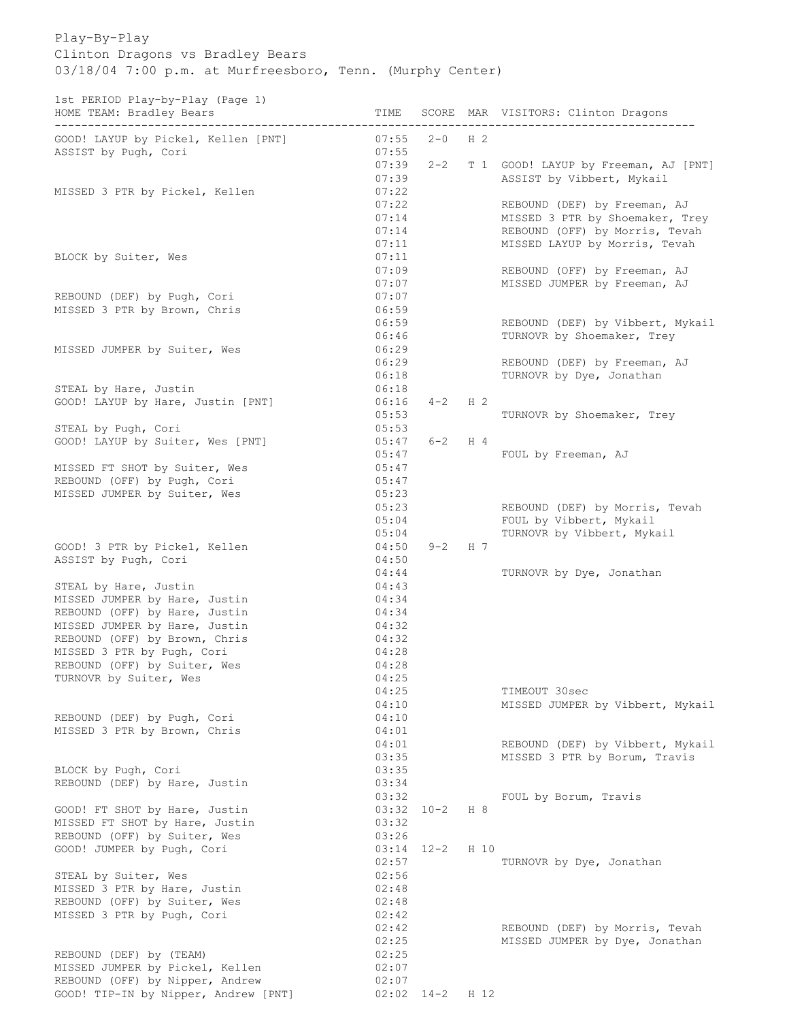Play-By-Play Clinton Dragons vs Bradley Bears 03/18/04 7:00 p.m. at Murfreesboro, Tenn. (Murphy Center)

1st PERIOD Play-by-Play (Page 1)

| HOME TEAM: Bradley Bears                                    | TIME           |                |                | SCORE MAR VISITORS: Clinton Dragons                   |
|-------------------------------------------------------------|----------------|----------------|----------------|-------------------------------------------------------|
| GOOD! LAYUP by Pickel, Kellen [PNT]<br>ASSIST by Pugh, Cori | 07:55<br>07:55 | $2 - 0$        | H 2            |                                                       |
|                                                             | 07:39          | $2 - 2$        |                | T 1 GOOD! LAYUP by Freeman, AJ [PNT]                  |
|                                                             | 07:39          |                |                | ASSIST by Vibbert, Mykail                             |
| MISSED 3 PTR by Pickel, Kellen                              | 07:22          |                |                |                                                       |
|                                                             | 07:22          |                |                | REBOUND (DEF) by Freeman, AJ                          |
|                                                             | 07:14          |                |                | MISSED 3 PTR by Shoemaker, Trey                       |
|                                                             | 07:14<br>07:11 |                |                | REBOUND (OFF) by Morris, Tevah                        |
| BLOCK by Suiter, Wes                                        | 07:11          |                |                | MISSED LAYUP by Morris, Tevah                         |
|                                                             | 07:09          |                |                | REBOUND (OFF) by Freeman, AJ                          |
|                                                             | 07:07          |                |                | MISSED JUMPER by Freeman, AJ                          |
| REBOUND (DEF) by Pugh, Cori                                 | 07:07          |                |                |                                                       |
| MISSED 3 PTR by Brown, Chris                                | 06:59          |                |                |                                                       |
|                                                             | 06:59          |                |                | REBOUND (DEF) by Vibbert, Mykail                      |
|                                                             | 06:46          |                |                | TURNOVR by Shoemaker, Trey                            |
| MISSED JUMPER by Suiter, Wes                                | 06:29          |                |                |                                                       |
|                                                             | 06:29          |                |                | REBOUND (DEF) by Freeman, AJ                          |
| STEAL by Hare, Justin                                       | 06:18<br>06:18 |                |                | TURNOVR by Dye, Jonathan                              |
| GOOD! LAYUP by Hare, Justin [PNT]                           | 06:16          | $4 - 2$        | H <sub>2</sub> |                                                       |
|                                                             | 05:53          |                |                | TURNOVR by Shoemaker, Trey                            |
| STEAL by Pugh, Cori                                         | 05:53          |                |                |                                                       |
| GOOD! LAYUP by Suiter, Wes [PNT]                            | 05:47          | $6 - 2$        | $H_4$          |                                                       |
|                                                             | 05:47          |                |                | FOUL by Freeman, AJ                                   |
| MISSED FT SHOT by Suiter, Wes                               | 05:47          |                |                |                                                       |
| REBOUND (OFF) by Pugh, Cori                                 | 05:47          |                |                |                                                       |
| MISSED JUMPER by Suiter, Wes                                | 05:23          |                |                |                                                       |
|                                                             | 05:23          |                |                | REBOUND (DEF) by Morris, Tevah                        |
|                                                             | 05:04<br>05:04 |                |                | FOUL by Vibbert, Mykail<br>TURNOVR by Vibbert, Mykail |
| GOOD! 3 PTR by Pickel, Kellen                               | 04:50          | $9 - 2$ H 7    |                |                                                       |
| ASSIST by Pugh, Cori                                        | 04:50          |                |                |                                                       |
|                                                             | 04:44          |                |                | TURNOVR by Dye, Jonathan                              |
| STEAL by Hare, Justin                                       | 04:43          |                |                |                                                       |
| MISSED JUMPER by Hare, Justin                               | 04:34          |                |                |                                                       |
| REBOUND (OFF) by Hare, Justin                               | 04:34          |                |                |                                                       |
| MISSED JUMPER by Hare, Justin                               | 04:32          |                |                |                                                       |
| REBOUND (OFF) by Brown, Chris                               | 04:32          |                |                |                                                       |
| MISSED 3 PTR by Pugh, Cori<br>REBOUND (OFF) by Suiter, Wes  | 04:28<br>04:28 |                |                |                                                       |
| TURNOVR by Suiter, Wes                                      | 04:25          |                |                |                                                       |
|                                                             | 04:25          |                |                | TIMEOUT 30sec                                         |
|                                                             | 04:10          |                |                | MISSED JUMPER by Vibbert, Mykail                      |
| REBOUND (DEF) by Pugh, Cori                                 | 04:10          |                |                |                                                       |
| MISSED 3 PTR by Brown, Chris                                | 04:01          |                |                |                                                       |
|                                                             | 04:01          |                |                | REBOUND (DEF) by Vibbert, Mykail                      |
|                                                             | 03:35          |                |                | MISSED 3 PTR by Borum, Travis                         |
| BLOCK by Pugh, Cori<br>REBOUND (DEF) by Hare, Justin        | 03:35<br>03:34 |                |                |                                                       |
|                                                             | 03:32          |                |                | FOUL by Borum, Travis                                 |
| GOOD! FT SHOT by Hare, Justin                               | $03:32$ $10-2$ |                | H 8            |                                                       |
| MISSED FT SHOT by Hare, Justin                              | 03:32          |                |                |                                                       |
| REBOUND (OFF) by Suiter, Wes                                | 03:26          |                |                |                                                       |
| GOOD! JUMPER by Pugh, Cori                                  | $03:14$ $12-2$ |                | H 10           |                                                       |
|                                                             | 02:57          |                |                | TURNOVR by Dye, Jonathan                              |
| STEAL by Suiter, Wes                                        | 02:56          |                |                |                                                       |
| MISSED 3 PTR by Hare, Justin                                | 02:48          |                |                |                                                       |
| REBOUND (OFF) by Suiter, Wes                                | 02:48<br>02:42 |                |                |                                                       |
| MISSED 3 PTR by Pugh, Cori                                  | 02:42          |                |                | REBOUND (DEF) by Morris, Tevah                        |
|                                                             | 02:25          |                |                | MISSED JUMPER by Dye, Jonathan                        |
| REBOUND (DEF) by (TEAM)                                     | 02:25          |                |                |                                                       |
| MISSED JUMPER by Pickel, Kellen                             | 02:07          |                |                |                                                       |
| REBOUND (OFF) by Nipper, Andrew                             | 02:07          |                |                |                                                       |
| GOOD! TIP-IN by Nipper, Andrew [PNT]                        |                | $02:02$ $14-2$ | H 12           |                                                       |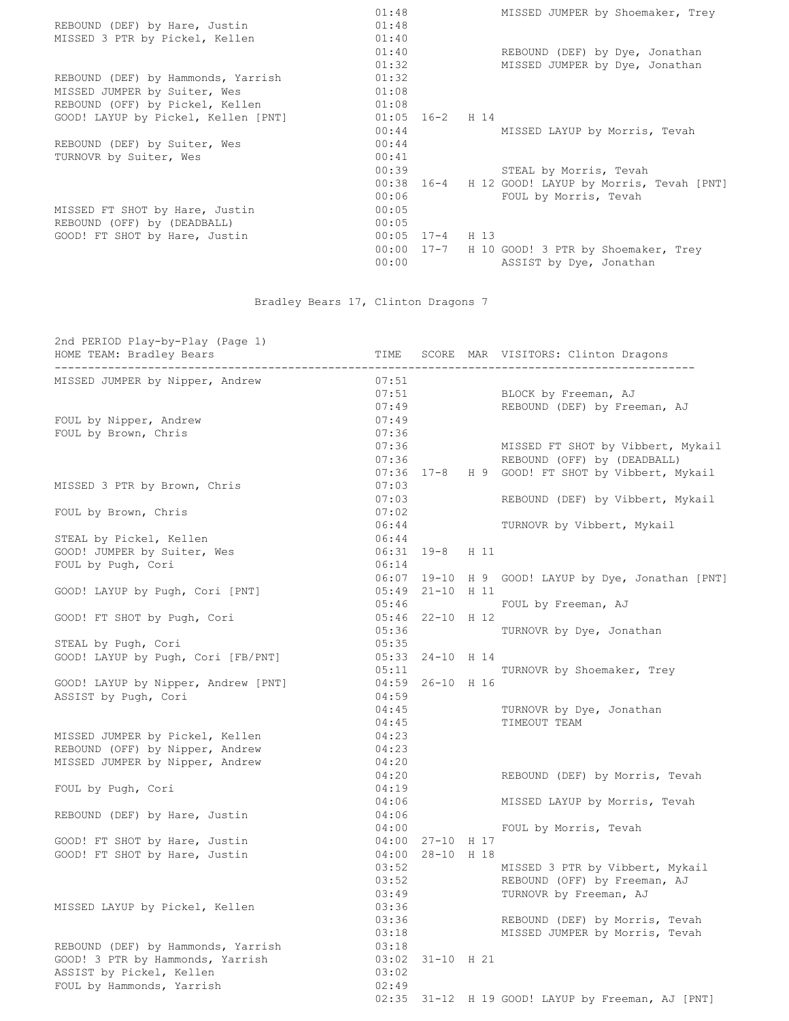|                                     | 01:48               | MISSED JUMPER by Shoemaker, Trey                   |
|-------------------------------------|---------------------|----------------------------------------------------|
| REBOUND (DEF) by Hare, Justin       | 01:48               |                                                    |
| MISSED 3 PTR by Pickel, Kellen      | 01:40               |                                                    |
|                                     | 01:40               | REBOUND (DEF) by Dye, Jonathan                     |
|                                     | 01:32               | MISSED JUMPER by Dye, Jonathan                     |
| REBOUND (DEF) by Hammonds, Yarrish  | 01:32               |                                                    |
| MISSED JUMPER by Suiter, Wes        | 01:08               |                                                    |
| REBOUND (OFF) by Pickel, Kellen     | 01:08               |                                                    |
| GOOD! LAYUP by Pickel, Kellen [PNT] | $01:05$ $16-2$ H 14 |                                                    |
|                                     | 00:44               | MISSED LAYUP by Morris, Tevah                      |
| REBOUND (DEF) by Suiter, Wes        | 00:44               |                                                    |
| TURNOVR by Suiter, Wes              | 00:41               |                                                    |
|                                     | 00:39               | STEAL by Morris, Tevah                             |
|                                     |                     | 00:38 16-4 H 12 GOOD! LAYUP by Morris, Tevah [PNT] |
|                                     | 00:06               | FOUL by Morris, Tevah                              |
| MISSED FT SHOT by Hare, Justin      | 00:05               |                                                    |
| REBOUND (OFF) by (DEADBALL)         | 00:05               |                                                    |
| GOOD! FT SHOT by Hare, Justin       | $00:05$ 17-4 H 13   |                                                    |
|                                     | $00:00$ $17-7$      | H 10 GOOD! 3 PTR by Shoemaker, Trey                |
|                                     | 00:00               | ASSIST by Dye, Jonathan                            |
|                                     |                     |                                                    |

## Bradley Bears 17, Clinton Dragons 7

2nd PERIOD Play-by-Play (Page 1) HOME TEAM: Bradley Bears TIME SCORE MAR VISITORS: Clinton Dragons ------------------------------------------------------------------------------------------------ MISSED JUMPER by Nipper, Andrew 07:51 07:51 BLOCK by Freeman, AJ 07:49 REBOUND (DEF) by Freeman, AJ FOUL by Nipper, Andrew 07:49 FOUL by Brown, Chris 07:36 07:36 MISSED FT SHOT by Vibbert, Mykail 07:36 REBOUND (OFF) by (DEADBALL) 07:36 17-8 H 9 GOOD! FT SHOT by Vibbert, Mykail MISSED 3 PTR by Brown, Chris 67:03 07:03 REBOUND (DEF) by Vibbert, Mykail FOUL by Brown, Chris 07:02 06:44 TURNOVR by Vibbert, Mykail STEAL by Pickel, Kellen 06:44 GOOD! JUMPER by Suiter, Wes 06:31 19-8 H 11 FOUL by Pugh, Cori 06:14 06:07 19-10 H 9 GOOD! LAYUP by Dye, Jonathan [PNT] GOOD! LAYUP by Pugh, Cori [PNT] 05:49 21-10 H 11 05:46 FOUL by Freeman, AJ GOOD! FT SHOT by Pugh, Cori 05:46 22-10 H 12 05:36 TURNOVR by Dye, Jonathan STEAL by Pugh, Cori 05:35 GOOD! LAYUP by Pugh, Cori [FB/PNT] 05:33 24-10 H 14 05:11 TURNOVR by Shoemaker, Trey GOOD! LAYUP by Nipper, Andrew [PNT] 04:59 26-10 H 16 ASSIST by Pugh, Cori 04:59 04:45 TURNOVR by Dye, Jonathan 04:45 TIMEOUT TEAM MISSED JUMPER by Pickel, Kellen 04:23 REBOUND (OFF) by Nipper, Andrew 04:23 MISSED JUMPER by Nipper, Andrew 04:20 04:20 REBOUND (DEF) by Morris, Tevah FOUL by Pugh, Cori 04:19 04:06 MISSED LAYUP by Morris, Tevah REBOUND (DEF) by Hare, Justin 04:06 04:00 FOUL by Morris, Tevah GOOD! FT SHOT by Hare, Justin 04:00 27-10 H 17 GOOD! FT SHOT by Hare, Justin 04:00 28-10 H 18 03:52 MISSED 3 PTR by Vibbert, Mykail 03:52 REBOUND (OFF) by Freeman, AJ 03:49 TURNOVR by Freeman, AJ MISSED LAYUP by Pickel, Kellen 03:36 03:36 REBOUND (DEF) by Morris, Tevah 03:18 MISSED JUMPER by Morris, Tevah REBOUND (DEF) by Hammonds, Yarrish 03:18 GOOD! 3 PTR by Hammonds, Yarrish 03:02 31-10 H 21 ASSIST by Pickel, Kellen 03:02 FOUL by Hammonds, Yarrish 02:49 02:35 31-12 H 19 GOOD! LAYUP by Freeman, AJ [PNT]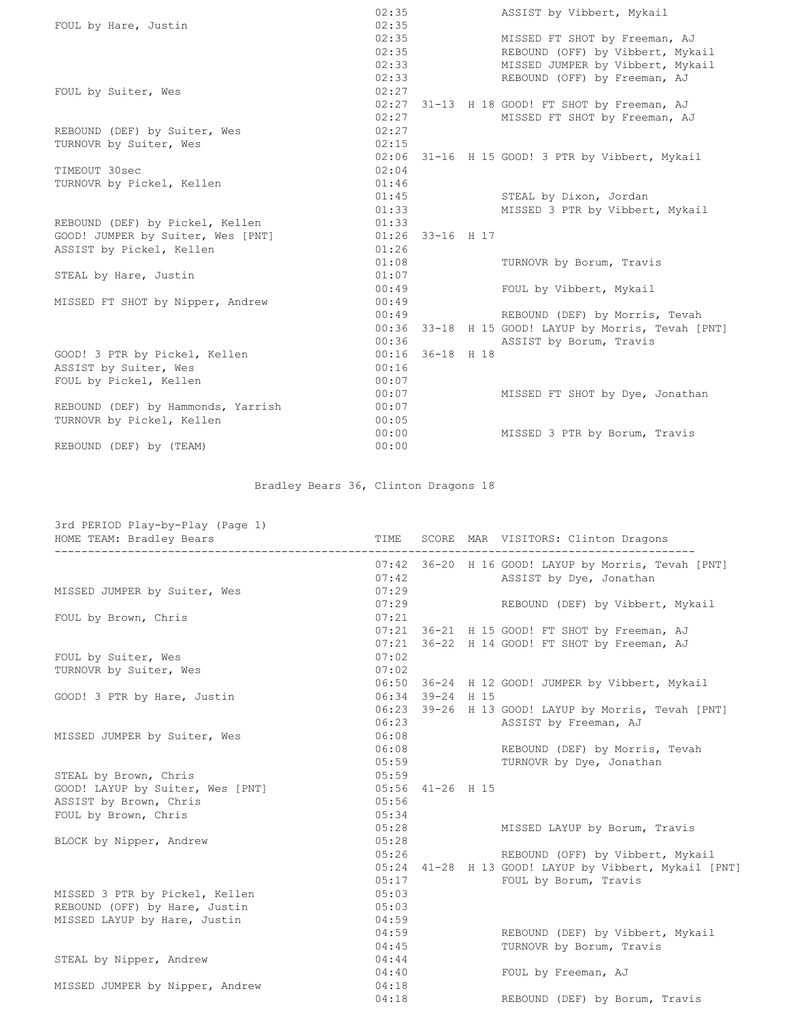|                                    | 02:35 |                    | ASSIST by Vibbert, Mykail                           |
|------------------------------------|-------|--------------------|-----------------------------------------------------|
| FOUL by Hare, Justin               | 02:35 |                    |                                                     |
|                                    |       | 02:35              | MISSED FT SHOT by Freeman, AJ                       |
|                                    |       | 02:35              | REBOUND (OFF) by Vibbert, Mykail                    |
|                                    | 02:33 |                    | MISSED JUMPER by Vibbert, Mykail                    |
|                                    | 02:33 |                    | REBOUND (OFF) by Freeman, AJ                        |
| FOUL by Suiter, Wes                | 02:27 |                    |                                                     |
|                                    |       |                    | 02:27 31-13 H 18 GOOD! FT SHOT by Freeman, AJ       |
|                                    | 02:27 |                    | MISSED FT SHOT by Freeman, AJ                       |
| REBOUND (DEF) by Suiter, Wes       | 02:27 |                    |                                                     |
| TURNOVR by Suiter, Wes             | 02:15 |                    |                                                     |
|                                    |       |                    | 02:06 31-16 H 15 GOOD! 3 PTR by Vibbert, Mykail     |
| TIMEOUT 30sec                      | 02:04 |                    |                                                     |
| TURNOVR by Pickel, Kellen          | 01:46 |                    |                                                     |
|                                    | 01:45 |                    | STEAL by Dixon, Jordan                              |
|                                    | 01:33 |                    | MISSED 3 PTR by Vibbert, Mykail                     |
| REBOUND (DEF) by Pickel, Kellen    | 01:33 |                    |                                                     |
| GOOD! JUMPER by Suiter, Wes [PNT]  |       | $01:26$ 33-16 H 17 |                                                     |
| ASSIST by Pickel, Kellen           | 01:26 |                    |                                                     |
|                                    | 01:08 |                    | TURNOVR by Borum, Travis                            |
| STEAL by Hare, Justin              | 01:07 |                    |                                                     |
|                                    | 00:49 |                    | FOUL by Vibbert, Mykail                             |
| MISSED FT SHOT by Nipper, Andrew   | 00:49 |                    |                                                     |
|                                    |       | 00:49              | REBOUND (DEF) by Morris, Tevah                      |
|                                    |       |                    | 00:36 33-18 H 15 GOOD! LAYUP by Morris, Tevah [PNT] |
|                                    |       | 00:36              | ASSIST by Borum, Travis                             |
| GOOD! 3 PTR by Pickel, Kellen      |       | $00:16$ 36-18 H 18 |                                                     |
| ASSIST by Suiter, Wes              | 00:16 |                    |                                                     |
| FOUL by Pickel, Kellen             | 00:07 |                    |                                                     |
|                                    | 00:07 |                    | MISSED FT SHOT by Dye, Jonathan                     |
| REBOUND (DEF) by Hammonds, Yarrish | 00:07 |                    |                                                     |
| TURNOVR by Pickel, Kellen          | 00:05 |                    |                                                     |
|                                    | 00:00 |                    | MISSED 3 PTR by Borum, Travis                       |
| REBOUND (DEF) by (TEAM)            | 00:00 |                    |                                                     |

Bradley Bears 36, Clinton Dragons 18

| 3rd PERIOD Play-by-Play (Page 1) |                                     |                |                                                       |
|----------------------------------|-------------------------------------|----------------|-------------------------------------------------------|
| HOME TEAM: Bradley Bears         | TIME<br>--------------------------- |                | SCORE MAR VISITORS: Clinton Dragons                   |
|                                  |                                     |                | 07:42 36-20 H 16 GOOD! LAYUP by Morris, Tevah [PNT]   |
|                                  | 07:42                               |                | ASSIST by Dye, Jonathan                               |
| MISSED JUMPER by Suiter, Wes     | 07:29                               |                |                                                       |
|                                  | 07:29                               |                | REBOUND (DEF) by Vibbert, Mykail                      |
| FOUL by Brown, Chris             | 07:21                               |                |                                                       |
|                                  | 07:21                               |                | 36-21 H 15 GOOD! FT SHOT by Freeman, AJ               |
|                                  | 07:21                               |                | 36-22 H 14 GOOD! FT SHOT by Freeman, AJ               |
| FOUL by Suiter, Wes              | 07:02                               |                |                                                       |
| TURNOVR by Suiter, Wes           | 07:02                               |                |                                                       |
|                                  | 06:50                               |                | 36-24 H 12 GOOD! JUMPER by Vibbert, Mykail            |
| GOOD! 3 PTR by Hare, Justin      | 06:34                               | 39-24 H 15     |                                                       |
|                                  | 06:23                               |                | 39-26 H 13 GOOD! LAYUP by Morris, Tevah [PNT]         |
|                                  | 06:23                               |                | ASSIST by Freeman, AJ                                 |
| MISSED JUMPER by Suiter, Wes     | 06:08                               |                |                                                       |
|                                  |                                     | 06:08          | REBOUND (DEF) by Morris, Tevah                        |
|                                  |                                     | 05:59          | TURNOVR by Dye, Jonathan                              |
| STEAL by Brown, Chris            | 05:59                               |                |                                                       |
| GOOD! LAYUP by Suiter, Wes [PNT] | 05:56                               | $41 - 26$ H 15 |                                                       |
| ASSIST by Brown, Chris           | 05:56                               |                |                                                       |
| FOUL by Brown, Chris             | 05:34                               |                |                                                       |
|                                  | 05:28                               |                | MISSED LAYUP by Borum, Travis                         |
| BLOCK by Nipper, Andrew          | 05:28                               |                |                                                       |
|                                  | 05:26                               |                | REBOUND (OFF) by Vibbert, Mykail                      |
|                                  |                                     |                | 05:24 41-28 H 13 GOOD! LAYUP by Vibbert, Mykail [PNT] |
|                                  | 05:17                               |                | FOUL by Borum, Travis                                 |
| MISSED 3 PTR by Pickel, Kellen   | 05:03                               |                |                                                       |
| REBOUND (OFF) by Hare, Justin    | 05:03                               |                |                                                       |
| MISSED LAYUP by Hare, Justin     | 04:59                               |                |                                                       |
|                                  | 04:59                               |                | REBOUND (DEF) by Vibbert, Mykail                      |
|                                  | 04:45                               |                | TURNOVR by Borum, Travis                              |
| STEAL by Nipper, Andrew          | 04:44                               |                |                                                       |
|                                  | 04:40                               |                | FOUL by Freeman, AJ                                   |
| MISSED JUMPER by Nipper, Andrew  | 04:18                               |                |                                                       |
|                                  | 04:18                               |                | REBOUND (DEF) by Borum, Travis                        |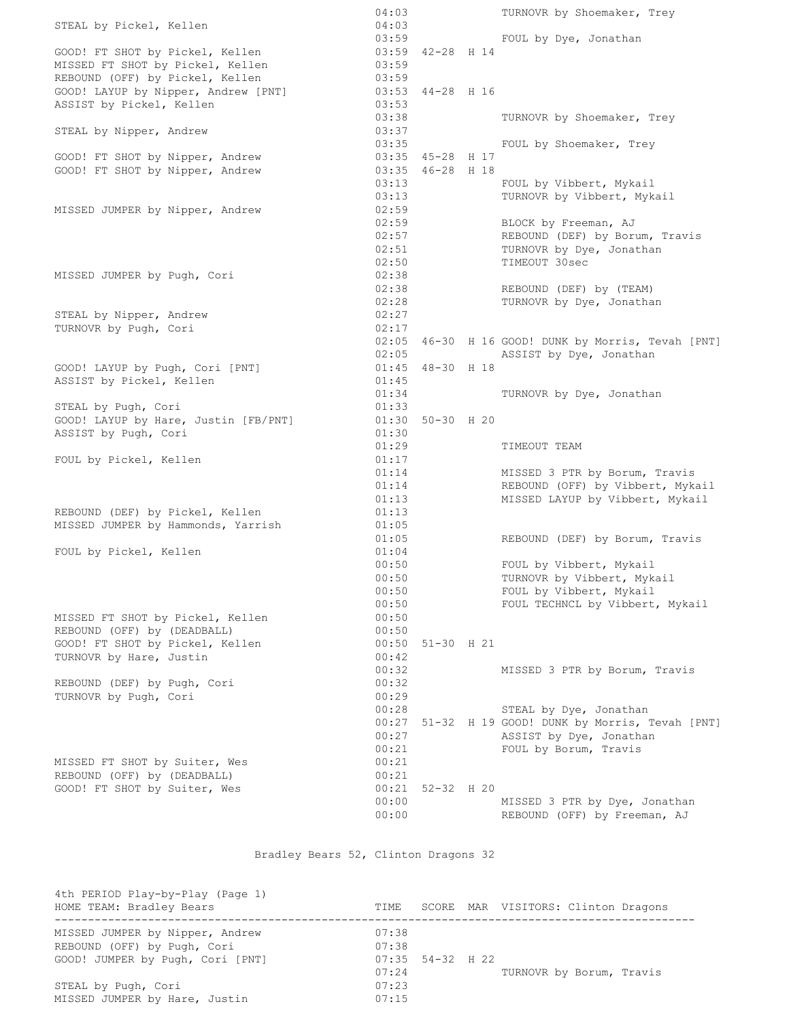|                                      | 04:03          |                    | TURNOVR by Shoemaker, Trey                                    |
|--------------------------------------|----------------|--------------------|---------------------------------------------------------------|
| STEAL by Pickel, Kellen              | 04:03          |                    |                                                               |
|                                      |                | 03:59              | FOUL by Dye, Jonathan                                         |
| GOOD! FT SHOT by Pickel, Kellen      |                | 03:59 42-28 H 14   |                                                               |
| MISSED FT SHOT by Pickel, Kellen     | 03:59          |                    |                                                               |
| REBOUND (OFF) by Pickel, Kellen      | 03:59          |                    |                                                               |
| GOOD! LAYUP by Nipper, Andrew [PNT]  |                | 03:53 44-28 H 16   |                                                               |
| ASSIST by Pickel, Kellen             | 03:53          |                    |                                                               |
|                                      | 03:38          |                    | TURNOVR by Shoemaker, Trey                                    |
| STEAL by Nipper, Andrew              | 03:37          |                    |                                                               |
|                                      | 03:35          |                    | FOUL by Shoemaker, Trey                                       |
| GOOD! FT SHOT by Nipper, Andrew      |                | 03:35 45-28 H 17   |                                                               |
| GOOD! FT SHOT by Nipper, Andrew      |                | 03:35 46-28 H 18   |                                                               |
|                                      | 03:13          |                    | FOUL by Vibbert, Mykail                                       |
|                                      | 03:13          |                    | TURNOVR by Vibbert, Mykail                                    |
| MISSED JUMPER by Nipper, Andrew      | 02:59          |                    |                                                               |
|                                      | 02:59          |                    | BLOCK by Freeman, AJ                                          |
|                                      | 02:57          |                    | REBOUND (DEF) by Borum, Travis                                |
|                                      | 02:51          |                    | TURNOVR by Dye, Jonathan                                      |
|                                      | 02:50          |                    | TIMEOUT 30sec                                                 |
| MISSED JUMPER by Pugh, Cori          | 02:38          |                    |                                                               |
|                                      | 02:38          |                    | REBOUND (DEF) by (TEAM)                                       |
|                                      | 02:28          |                    | TURNOVR by Dye, Jonathan                                      |
| STEAL by Nipper, Andrew              | 02:27          |                    |                                                               |
| TURNOVR by Pugh, Cori                | 02:17          |                    |                                                               |
|                                      |                |                    | 02:05 46-30 H 16 GOOD! DUNK by Morris, Tevah [PNT]            |
|                                      | 02:05          |                    | ASSIST by Dye, Jonathan                                       |
| GOOD! LAYUP by Pugh, Cori [PNT]      |                | $01:45$ 48-30 H 18 |                                                               |
| ASSIST by Pickel, Kellen             | 01:45          |                    |                                                               |
|                                      | 01:34          |                    | TURNOVR by Dye, Jonathan                                      |
| STEAL by Pugh, Cori                  | 01:33          |                    |                                                               |
| GOOD! LAYUP by Hare, Justin [FB/PNT] |                | 01:30 50-30 H 20   |                                                               |
| ASSIST by Pugh, Cori                 | 01:30          |                    |                                                               |
|                                      | 01:29          |                    | TIMEOUT TEAM                                                  |
|                                      |                |                    |                                                               |
|                                      |                |                    |                                                               |
| FOUL by Pickel, Kellen               | 01:17          |                    |                                                               |
|                                      | 01:14          |                    | MISSED 3 PTR by Borum, Travis                                 |
|                                      | 01:14          |                    | REBOUND (OFF) by Vibbert, Mykail                              |
|                                      | 01:13          |                    | MISSED LAYUP by Vibbert, Mykail                               |
| REBOUND (DEF) by Pickel, Kellen      | 01:13          |                    |                                                               |
| MISSED JUMPER by Hammonds, Yarrish   | 01:05          |                    |                                                               |
|                                      | 01:05          |                    | REBOUND (DEF) by Borum, Travis                                |
| FOUL by Pickel, Kellen               | 01:04          |                    |                                                               |
|                                      | 00:50          |                    | FOUL by Vibbert, Mykail                                       |
|                                      | 00:50          |                    | TURNOVR by Vibbert, Mykail                                    |
|                                      | 00:50          |                    | FOUL by Vibbert, Mykail                                       |
|                                      | 00:50          |                    | FOUL TECHNCL by Vibbert, Mykail                               |
| MISSED FT SHOT by Pickel, Kellen     | 00:50          |                    |                                                               |
| REBOUND (OFF) by (DEADBALL)          | 00:50          |                    |                                                               |
| GOOD! FT SHOT by Pickel, Kellen      | 00:50          | $51 - 30$ H 21     |                                                               |
| TURNOVR by Hare, Justin              | 00:42          |                    |                                                               |
|                                      | 00:32          |                    | MISSED 3 PTR by Borum, Travis                                 |
| REBOUND (DEF) by Pugh, Cori          | 00:32          |                    |                                                               |
| TURNOVR by Pugh, Cori                | 00:29          |                    |                                                               |
|                                      | 00:28          |                    | STEAL by Dye, Jonathan                                        |
|                                      | 00:27          |                    | 51-32 H 19 GOOD! DUNK by Morris, Tevah [PNT]                  |
|                                      | 00:27          |                    | ASSIST by Dye, Jonathan                                       |
|                                      | 00:21          |                    | FOUL by Borum, Travis                                         |
| MISSED FT SHOT by Suiter, Wes        | 00:21          |                    |                                                               |
| REBOUND (OFF) by (DEADBALL)          | 00:21          |                    |                                                               |
| GOOD! FT SHOT by Suiter, Wes         | 00:21          | $52 - 32$ H 20     |                                                               |
|                                      | 00:00<br>00:00 |                    | MISSED 3 PTR by Dye, Jonathan<br>REBOUND (OFF) by Freeman, AJ |

Bradley Bears 52, Clinton Dragons 32

| 4th PERIOD Play-by-Play (Page 1)<br>HOME TEAM: Bradley Bears                                       | TIME                    |                    | SCORE MAR VISITORS: Clinton Dragons |
|----------------------------------------------------------------------------------------------------|-------------------------|--------------------|-------------------------------------|
| MISSED JUMPER by Nipper, Andrew<br>REBOUND (OFF) by Pugh, Cori<br>GOOD! JUMPER by Pugh, Cori [PNT] | 07:38<br>07:38<br>07:24 | $07:35$ 54-32 H 22 | TURNOVR by Borum, Travis            |
| STEAL by Pugh, Cori<br>MISSED JUMPER by Hare, Justin                                               | 07:23<br>07:15          |                    |                                     |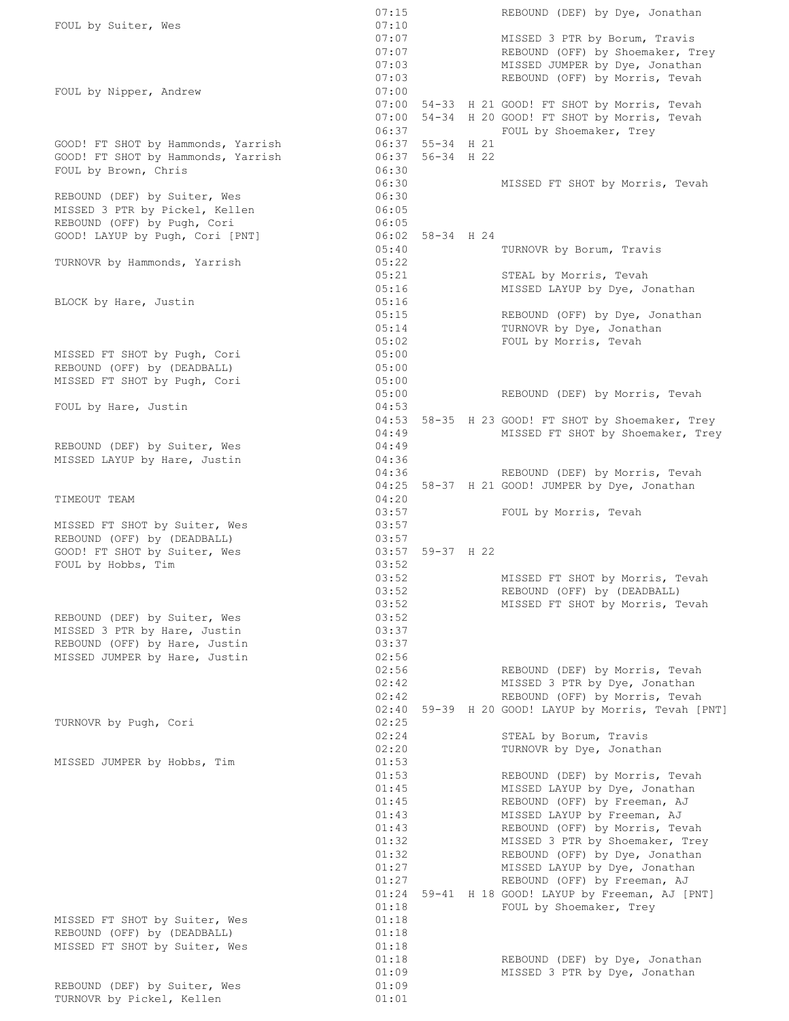|                                    | 07:15          |                  | REBOUND (DEF) by Dye, Jonathan                                                         |
|------------------------------------|----------------|------------------|----------------------------------------------------------------------------------------|
| FOUL by Suiter, Wes                | 07:10          |                  |                                                                                        |
|                                    | 07:07          |                  | MISSED 3 PTR by Borum, Travis                                                          |
|                                    |                | 07:07            | REBOUND (OFF) by Shoemaker, Trey                                                       |
|                                    | 07:03          |                  | MISSED JUMPER by Dye, Jonathan                                                         |
|                                    | 07:03          |                  | REBOUND (OFF) by Morris, Tevah                                                         |
| FOUL by Nipper, Andrew             | 07:00          |                  |                                                                                        |
|                                    |                |                  | 07:00 54-33 H 21 GOOD! FT SHOT by Morris, Tevah                                        |
|                                    |                |                  | 07:00 54-34 H 20 GOOD! FT SHOT by Morris, Tevah                                        |
| GOOD! FT SHOT by Hammonds, Yarrish | 06:37          | 06:37 55-34 H 21 | FOUL by Shoemaker, Trey                                                                |
| GOOD! FT SHOT by Hammonds, Yarrish |                | 06:37 56-34 H 22 |                                                                                        |
| FOUL by Brown, Chris               | 06:30          |                  |                                                                                        |
|                                    | 06:30          |                  | MISSED FT SHOT by Morris, Tevah                                                        |
| REBOUND (DEF) by Suiter, Wes       | 06:30          |                  |                                                                                        |
| MISSED 3 PTR by Pickel, Kellen     | 06:05          |                  |                                                                                        |
| REBOUND (OFF) by Pugh, Cori        | 06:05          |                  |                                                                                        |
| GOOD! LAYUP by Pugh, Cori [PNT]    |                | 06:02 58-34 H 24 |                                                                                        |
|                                    | 05:40          |                  | TURNOVR by Borum, Travis                                                               |
| TURNOVR by Hammonds, Yarrish       | 05:22          |                  |                                                                                        |
|                                    | 05:21          |                  | STEAL by Morris, Tevah                                                                 |
|                                    | 05:16          |                  | MISSED LAYUP by Dye, Jonathan                                                          |
| BLOCK by Hare, Justin              | 05:16          |                  |                                                                                        |
|                                    | 05:15          |                  | REBOUND (OFF) by Dye, Jonathan                                                         |
|                                    | 05:14          |                  | TURNOVR by Dye, Jonathan                                                               |
|                                    | 05:02          |                  | FOUL by Morris, Tevah                                                                  |
| MISSED FT SHOT by Pugh, Cori       | 05:00          |                  |                                                                                        |
| REBOUND (OFF) by (DEADBALL)        | 05:00          |                  |                                                                                        |
| MISSED FT SHOT by Pugh, Cori       | 05:00          |                  |                                                                                        |
|                                    | 05:00          |                  | REBOUND (DEF) by Morris, Tevah                                                         |
| FOUL by Hare, Justin               | 04:53          |                  |                                                                                        |
|                                    | 04:49          |                  | 04:53 58-35 H 23 GOOD! FT SHOT by Shoemaker, Trey<br>MISSED FT SHOT by Shoemaker, Trey |
| REBOUND (DEF) by Suiter, Wes       | 04:49          |                  |                                                                                        |
| MISSED LAYUP by Hare, Justin       | 04:36          |                  |                                                                                        |
|                                    | 04:36          |                  | REBOUND (DEF) by Morris, Tevah                                                         |
|                                    |                |                  | 04:25 58-37 H 21 GOOD! JUMPER by Dye, Jonathan                                         |
| TIMEOUT TEAM                       | 04:20          |                  |                                                                                        |
|                                    | 03:57          |                  | FOUL by Morris, Tevah                                                                  |
| MISSED FT SHOT by Suiter, Wes      | 03:57          |                  |                                                                                        |
| REBOUND (OFF) by (DEADBALL)        | 03:57          |                  |                                                                                        |
| GOOD! FT SHOT by Suiter, Wes       |                | 03:57 59-37 H 22 |                                                                                        |
| FOUL by Hobbs, Tim                 | 03:52          |                  |                                                                                        |
|                                    | 03:52          |                  | MISSED FT SHOT by Morris, Tevah                                                        |
|                                    | 03:52<br>03:52 |                  | REBOUND (OFF) by (DEADBALL)                                                            |
| REBOUND (DEF) by Suiter, Wes       | 03:52          |                  | MISSED FT SHOT by Morris, Tevah                                                        |
| MISSED 3 PTR by Hare, Justin       | 03:37          |                  |                                                                                        |
| REBOUND (OFF) by Hare, Justin      | 03:37          |                  |                                                                                        |
| MISSED JUMPER by Hare, Justin      | 02:56          |                  |                                                                                        |
|                                    | 02:56          |                  | REBOUND (DEF) by Morris, Tevah                                                         |
|                                    | 02:42          |                  | MISSED 3 PTR by Dye, Jonathan                                                          |
|                                    | 02:42          |                  | REBOUND (OFF) by Morris, Tevah                                                         |
|                                    | 02:40          |                  | 59-39 H 20 GOOD! LAYUP by Morris, Tevah [PNT]                                          |
| TURNOVR by Pugh, Cori              | 02:25          |                  |                                                                                        |
|                                    | 02:24          |                  | STEAL by Borum, Travis                                                                 |
|                                    | 02:20          |                  | TURNOVR by Dye, Jonathan                                                               |
| MISSED JUMPER by Hobbs, Tim        | 01:53          |                  |                                                                                        |
|                                    | 01:53          |                  | REBOUND (DEF) by Morris, Tevah                                                         |
|                                    | 01:45          |                  | MISSED LAYUP by Dye, Jonathan                                                          |
|                                    | 01:45          |                  | REBOUND (OFF) by Freeman, AJ                                                           |
|                                    | 01:43          |                  | MISSED LAYUP by Freeman, AJ                                                            |
|                                    | 01:43<br>01:32 |                  | REBOUND (OFF) by Morris, Tevah                                                         |
|                                    | 01:32          |                  | MISSED 3 PTR by Shoemaker, Trey<br>REBOUND (OFF) by Dye, Jonathan                      |
|                                    | 01:27          |                  | MISSED LAYUP by Dye, Jonathan                                                          |
|                                    | 01:27          |                  | REBOUND (OFF) by Freeman, AJ                                                           |
|                                    |                |                  | 01:24 59-41 H 18 GOOD! LAYUP by Freeman, AJ [PNT]                                      |
|                                    | 01:18          |                  | FOUL by Shoemaker, Trey                                                                |
| MISSED FT SHOT by Suiter, Wes      | 01:18          |                  |                                                                                        |
| REBOUND (OFF) by (DEADBALL)        | 01:18          |                  |                                                                                        |
| MISSED FT SHOT by Suiter, Wes      | 01:18          |                  |                                                                                        |
|                                    | 01:18          |                  | REBOUND (DEF) by Dye, Jonathan                                                         |
|                                    | 01:09          |                  | MISSED 3 PTR by Dye, Jonathan                                                          |
| REBOUND (DEF) by Suiter, Wes       | 01:09          |                  |                                                                                        |
| TURNOVR by Pickel, Kellen          | 01:01          |                  |                                                                                        |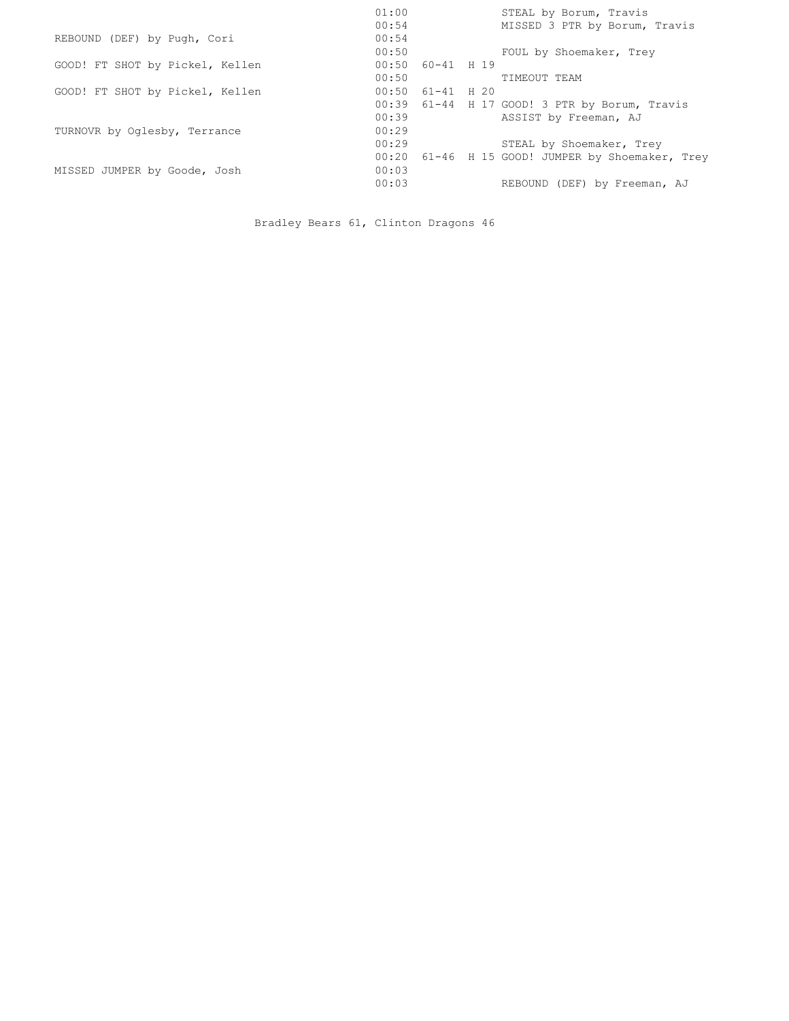|                                 | 01:00<br>STEAL by Borum, Travis<br>00:54<br>MISSED 3 PTR by Borum, Travis |
|---------------------------------|---------------------------------------------------------------------------|
| REBOUND (DEF) by Pugh, Cori     | 00:54                                                                     |
|                                 | 00:50<br>FOUL by Shoemaker, Trey                                          |
| GOOD! FT SHOT by Pickel, Kellen | $00:50$ $60-41$ H 19                                                      |
|                                 | 00:50<br>TIMEOUT TEAM                                                     |
| GOOD! FT SHOT by Pickel, Kellen | 00:50<br>$61 - 41$ H 20                                                   |
|                                 | 00:39 61-44 H 17 GOOD! 3 PTR by Borum, Travis                             |
|                                 | 00:39<br>ASSIST by Freeman, AJ                                            |
| TURNOVR by Oglesby, Terrance    | 00:29                                                                     |
|                                 | 00:29<br>STEAL by Shoemaker, Trey                                         |
|                                 | 61-46 H 15 GOOD! JUMPER by Shoemaker, Trey<br>00:20                       |
| MISSED JUMPER by Goode, Josh    | 00:03                                                                     |
|                                 | 00:03<br>REBOUND (DEF) by Freeman, AJ                                     |
|                                 |                                                                           |

Bradley Bears 61, Clinton Dragons 46